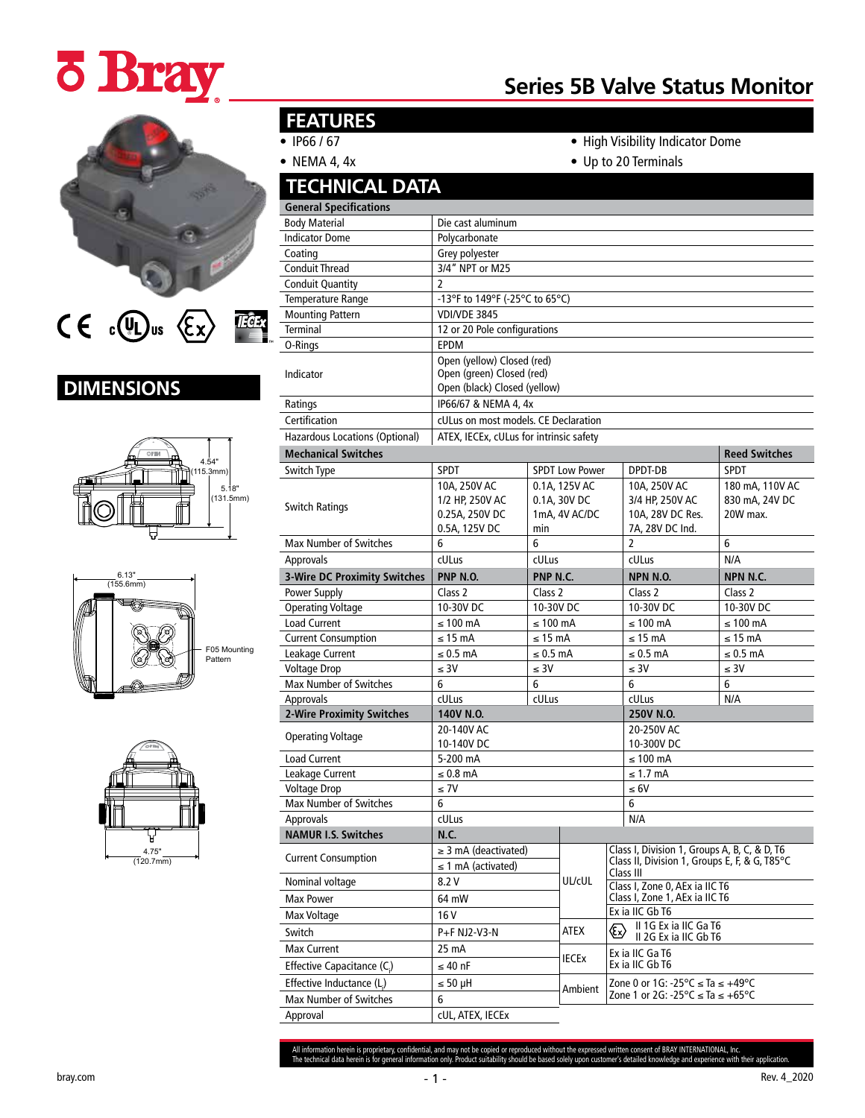# **¿ Bray**

### $C \in \mathbb{C}$   $\overline{\mathbb{U}}$  us  $\langle \overline{\mathbb{E}} \times \rangle$ **TEGEX**

## **DIMENSIONS**







## **FEATURES**

- IP66 / 67
- NEMA 4, 4x

• High Visibility Indicator Dome

**Series 5B Valve Status Monitor**

• Up to 20 Terminals

| <b>TECHNICAL DATA</b>               |                                                                                         |                                                       |                          |                                                                                                                                        |                                                       |                      |  |
|-------------------------------------|-----------------------------------------------------------------------------------------|-------------------------------------------------------|--------------------------|----------------------------------------------------------------------------------------------------------------------------------------|-------------------------------------------------------|----------------------|--|
| <b>General Specifications</b>       |                                                                                         |                                                       |                          |                                                                                                                                        |                                                       |                      |  |
| <b>Body Material</b>                | Die cast aluminum                                                                       |                                                       |                          |                                                                                                                                        |                                                       |                      |  |
| <b>Indicator Dome</b>               | Polycarbonate                                                                           |                                                       |                          |                                                                                                                                        |                                                       |                      |  |
| Coating                             | Grey polyester                                                                          |                                                       |                          |                                                                                                                                        |                                                       |                      |  |
| <b>Conduit Thread</b>               | 3/4" NPT or M25                                                                         |                                                       |                          |                                                                                                                                        |                                                       |                      |  |
| <b>Conduit Quantity</b>             | $\overline{2}$                                                                          |                                                       |                          |                                                                                                                                        |                                                       |                      |  |
| Temperature Range                   | -13°F to 149°F (-25°C to 65°C)                                                          |                                                       |                          |                                                                                                                                        |                                                       |                      |  |
| <b>Mounting Pattern</b>             | <b>VDI/VDE 3845</b>                                                                     |                                                       |                          |                                                                                                                                        |                                                       |                      |  |
| <b>Terminal</b>                     | 12 or 20 Pole configurations                                                            |                                                       |                          |                                                                                                                                        |                                                       |                      |  |
| O-Rings                             | <b>EPDM</b>                                                                             |                                                       |                          |                                                                                                                                        |                                                       |                      |  |
| Indicator                           | Open (yellow) Closed (red)<br>Open (green) Closed (red)<br>Open (black) Closed (yellow) |                                                       |                          |                                                                                                                                        |                                                       |                      |  |
| Ratings                             | IP66/67 & NEMA 4, 4x                                                                    |                                                       |                          |                                                                                                                                        |                                                       |                      |  |
| Certification                       | cULus on most models. CE Declaration                                                    |                                                       |                          |                                                                                                                                        |                                                       |                      |  |
| Hazardous Locations (Optional)      | ATEX, IECEx, cULus for intrinsic safety                                                 |                                                       |                          |                                                                                                                                        |                                                       |                      |  |
| <b>Mechanical Switches</b>          |                                                                                         |                                                       |                          |                                                                                                                                        |                                                       | <b>Reed Switches</b> |  |
| Switch Type                         | <b>SPDT</b>                                                                             |                                                       | <b>SPDT Low Power</b>    |                                                                                                                                        | DPDT-DB                                               | <b>SPDT</b>          |  |
| <b>Switch Ratings</b>               | 10A, 250V AC<br>1/2 HP, 250V AC<br>0.25A, 250V DC<br>0.5A, 125V DC                      | 0.1A, 125V AC<br>0.1A, 30V DC<br>1mA, 4V AC/DC<br>min |                          | 10A, 250V AC<br>3/4 HP, 250V AC<br>10A, 28V DC Res.<br>7A, 28V DC Ind.                                                                 | 180 mA, 110V AC<br>830 mA, 24V DC<br>20W max.         |                      |  |
| <b>Max Number of Switches</b>       | 6                                                                                       | 6                                                     |                          | $\overline{2}$                                                                                                                         | 6                                                     |                      |  |
| Approvals                           | cULus                                                                                   | cULus                                                 |                          |                                                                                                                                        | cULus                                                 | N/A                  |  |
| <b>3-Wire DC Proximity Switches</b> | PNP N.O.                                                                                | PNP N.C.                                              |                          |                                                                                                                                        | NPN N.O.                                              | NPN N.C.             |  |
| Power Supply                        | Class 2                                                                                 | Class 2                                               |                          |                                                                                                                                        | Class 2                                               | Class 2              |  |
| <b>Operating Voltage</b>            | 10-30V DC                                                                               |                                                       | 10-30V DC                |                                                                                                                                        | 10-30V DC                                             | 10-30V DC            |  |
| <b>Load Current</b>                 | $\leq 100$ mA                                                                           |                                                       |                          |                                                                                                                                        | $\leq 100$ mA                                         | $\leq 100$ mA        |  |
| <b>Current Consumption</b>          | $\leq 100$ mA<br>$\leq$ 15 mA<br>$\leq$ 15 mA                                           |                                                       |                          | $\leq$ 15 mA                                                                                                                           | $\leq$ 15 mA                                          |                      |  |
| Leakage Current                     | $\leq 0.5$ mA                                                                           | $\leq 0.5$ mA                                         |                          |                                                                                                                                        | $\leq 0.5$ mA                                         | $\leq 0.5$ mA        |  |
| <b>Voltage Drop</b>                 | $\leq 3V$                                                                               | $\leq 30$                                             |                          |                                                                                                                                        | $\leq 3V$                                             | $\leq 3V$            |  |
| Max Number of Switches              | 6                                                                                       | 6                                                     |                          |                                                                                                                                        | 6                                                     | 6                    |  |
| <b>Approvals</b>                    | cULus                                                                                   | cULus                                                 |                          |                                                                                                                                        | cULus                                                 | N/A                  |  |
| <b>2-Wire Proximity Switches</b>    | 140V N.O.                                                                               |                                                       |                          |                                                                                                                                        | 250V N.O.                                             |                      |  |
| <b>Operating Voltage</b>            | 20-140V AC<br>10-140V DC                                                                |                                                       | 20-250V AC<br>10-300V DC |                                                                                                                                        |                                                       |                      |  |
| <b>Load Current</b>                 | 5-200 mA                                                                                |                                                       |                          |                                                                                                                                        | $\leq 100$ mA                                         |                      |  |
| Leakage Current                     | $\leq 0.8$ mA                                                                           |                                                       |                          |                                                                                                                                        | $\leq$ 1.7 mA                                         |                      |  |
| <b>Voltage Drop</b>                 | $\leq 7V$                                                                               |                                                       |                          |                                                                                                                                        | $\leq 6V$                                             |                      |  |
| Max Number of Switches              | 6                                                                                       |                                                       |                          |                                                                                                                                        | 6                                                     |                      |  |
| Approvals                           | cULus                                                                                   |                                                       |                          |                                                                                                                                        | N/A                                                   |                      |  |
| <b>NAMUR I.S. Switches</b>          | N.C.                                                                                    |                                                       |                          |                                                                                                                                        |                                                       |                      |  |
| <b>Current Consumption</b>          | $\geq$ 3 mA (deactivated)<br>$\leq$ 1 mA (activated)                                    |                                                       |                          | Class I, Division 1, Groups A, B, C, & D, T6<br>Class II, Division 1, Groups E, F, & G, T85°C<br>Class III                             |                                                       |                      |  |
| Nominal voltage                     | 8.2 V                                                                                   |                                                       | UL/cUL                   | Class I, Zone 0, AEx ia IIC T6                                                                                                         |                                                       |                      |  |
| Max Power                           | 64 mW                                                                                   |                                                       |                          | Class I, Zone 1, AEx ia IIC T6                                                                                                         |                                                       |                      |  |
| Max Voltage                         | 16 V                                                                                    |                                                       |                          |                                                                                                                                        | Ex ia IIC Gb T6                                       |                      |  |
| Switch                              | P+F NJ2-V3-N                                                                            |                                                       | ATEX                     |                                                                                                                                        | II 1G Ex ia IIC Ga T6<br>Ex)<br>II 2G Ex ia IIC Gb T6 |                      |  |
| <b>Max Current</b>                  | 25 mA                                                                                   |                                                       |                          | Ex ia IIC Ga T6<br>Ex ia IIC Gb T6                                                                                                     |                                                       |                      |  |
| Effective Capacitance (C.)          | $\leq 40$ nF                                                                            |                                                       | <b>IECEX</b>             |                                                                                                                                        |                                                       |                      |  |
| Effective Inductance (L.)           | $\leq 50 \mu H$                                                                         |                                                       |                          | Zone 0 or 1G: -25 $\degree$ C $\le$ Ta $\le$ +49 $\degree$ C<br>Zone 1 or 2G: -25 $\textdegree$ C $\leq$ Ta $\leq$ +65 $\textdegree$ C |                                                       |                      |  |
| Max Number of Switches              | 6                                                                                       |                                                       | Ambient                  |                                                                                                                                        |                                                       |                      |  |
| Approval                            | cUL, ATEX, IECEx                                                                        |                                                       |                          |                                                                                                                                        |                                                       |                      |  |
|                                     |                                                                                         |                                                       |                          |                                                                                                                                        |                                                       |                      |  |

All information herein is proprietary, confidential, and may not be copied or reproduced without the expressed written consent of BRAY INTERNATIONAL, Inc.<br>The technical data herein is for general information only. Product